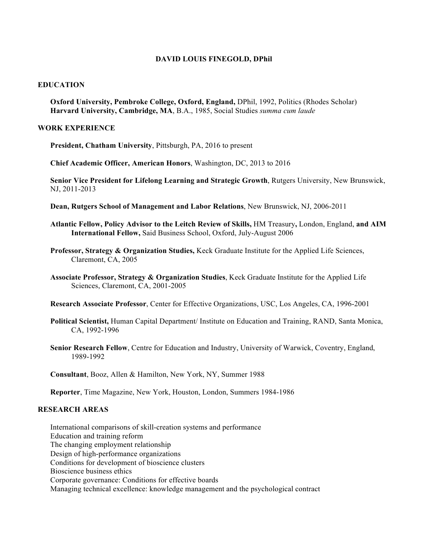#### **DAVID LOUIS FINEGOLD, DPhil**

### **EDUCATION**

**Oxford University, Pembroke College, Oxford, England,** DPhil, 1992, Politics (Rhodes Scholar) **Harvard University, Cambridge, MA**, B.A., 1985, Social Studies *summa cum laude*

#### **WORK EXPERIENCE**

**President, Chatham University**, Pittsburgh, PA, 2016 to present

**Chief Academic Officer, American Honors**, Washington, DC, 2013 to 2016

**Senior Vice President for Lifelong Learning and Strategic Growth**, Rutgers University, New Brunswick, NJ, 2011-2013

**Dean, Rutgers School of Management and Labor Relations**, New Brunswick, NJ, 2006-2011

- **Atlantic Fellow, Policy Advisor to the Leitch Review of Skills,** HM Treasury**,** London, England, **and AIM International Fellow,** Said Business School, Oxford, July-August 2006
- **Professor, Strategy & Organization Studies,** Keck Graduate Institute for the Applied Life Sciences, Claremont, CA, 2005
- **Associate Professor, Strategy & Organization Studies**, Keck Graduate Institute for the Applied Life Sciences, Claremont, CA, 2001-2005
- **Research Associate Professor**, Center for Effective Organizations, USC, Los Angeles, CA, 1996-2001
- **Political Scientist,** Human Capital Department/ Institute on Education and Training, RAND, Santa Monica, CA, 1992-1996
- **Senior Research Fellow**, Centre for Education and Industry, University of Warwick, Coventry, England, 1989-1992

**Consultant**, Booz, Allen & Hamilton, New York, NY, Summer 1988

**Reporter**, Time Magazine, New York, Houston, London, Summers 1984-1986

## **RESEARCH AREAS**

International comparisons of skill-creation systems and performance Education and training reform The changing employment relationship Design of high-performance organizations Conditions for development of bioscience clusters Bioscience business ethics Corporate governance: Conditions for effective boards Managing technical excellence: knowledge management and the psychological contract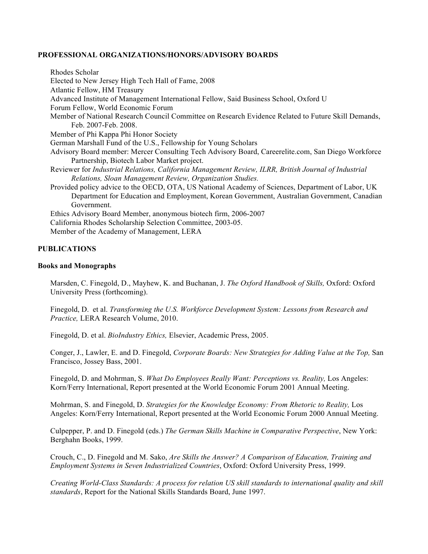### **PROFESSIONAL ORGANIZATIONS/HONORS/ADVISORY BOARDS**

Rhodes Scholar Elected to New Jersey High Tech Hall of Fame, 2008 Atlantic Fellow, HM Treasury Advanced Institute of Management International Fellow, Said Business School, Oxford U Forum Fellow, World Economic Forum Member of National Research Council Committee on Research Evidence Related to Future Skill Demands, Feb. 2007-Feb. 2008. Member of Phi Kappa Phi Honor Society German Marshall Fund of the U.S., Fellowship for Young Scholars Advisory Board member: Mercer Consulting Tech Advisory Board, Careerelite.com, San Diego Workforce Partnership, Biotech Labor Market project. Reviewer for *Industrial Relations, California Management Review, ILRR, British Journal of Industrial Relations, Sloan Management Review, Organization Studies.* Provided policy advice to the OECD, OTA, US National Academy of Sciences, Department of Labor, UK Department for Education and Employment, Korean Government, Australian Government, Canadian Government. Ethics Advisory Board Member, anonymous biotech firm, 2006-2007 California Rhodes Scholarship Selection Committee, 2003-05. Member of the Academy of Management, LERA

# **PUBLICATIONS**

### **Books and Monographs**

Marsden, C. Finegold, D., Mayhew, K. and Buchanan, J. *The Oxford Handbook of Skills,* Oxford: Oxford University Press (forthcoming).

Finegold, D. et al. *Transforming the U.S. Workforce Development System: Lessons from Research and Practice,* LERA Research Volume, 2010.

Finegold, D. et al. *BioIndustry Ethics,* Elsevier, Academic Press, 2005.

Conger, J., Lawler, E. and D. Finegold, *Corporate Boards: New Strategies for Adding Value at the Top,* San Francisco, Jossey Bass, 2001.

Finegold, D. and Mohrman, S. *What Do Employees Really Want: Perceptions vs. Reality,* Los Angeles: Korn/Ferry International, Report presented at the World Economic Forum 2001 Annual Meeting.

Mohrman, S. and Finegold, D. *Strategies for the Knowledge Economy: From Rhetoric to Reality,* Los Angeles: Korn/Ferry International, Report presented at the World Economic Forum 2000 Annual Meeting.

Culpepper, P. and D. Finegold (eds.) *The German Skills Machine in Comparative Perspective*, New York: Berghahn Books, 1999.

Crouch, C., D. Finegold and M. Sako, *Are Skills the Answer? A Comparison of Education, Training and Employment Systems in Seven Industrialized Countries*, Oxford: Oxford University Press, 1999.

*Creating World-Class Standards: A process for relation US skill standards to international quality and skill standards*, Report for the National Skills Standards Board, June 1997.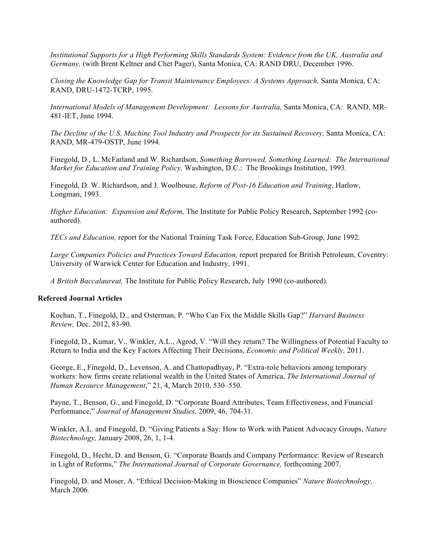*Institutional Supports for a High Performing Skills Standards System: Evidence from the UK, Australia and Germany,* (with Brent Keltner and Chet Pager), Santa Monica, CA: RAND DRU, December 1996.

*Closing the Knowledge Gap for Transit Maintenance Employees: A Systems Approach,* Santa Monica, CA: RAND, DRU-1472-TCRP, 1995.

*International Models of Management Development: Lessons for Australia,* Santa Monica, CA: RAND, MR-481-IET, June 1994.

*The Decline of the U.S. Machine Tool Industry and Prospects for its Sustained Recovery,* Santa Monica, CA: RAND, MR-479-OSTP, June 1994.

Finegold, D., L. McFarland and W. Richardson, *Something Borrowed, Something Learned: The International Market for Education and Training Policy,* Washington, D.C.: The Brookings Institution, 1993.

Finegold, D. W. Richardson, and J. Woolhouse, *Reform of Post-16 Education and Training*, Harlow, Longman, 1993.

*Higher Education: Expansion and Reform,* The Institute for Public Policy Research, September 1992 (coauthored).

*TECs and Education,* report for the National Training Task Force, Education Sub-Group, June 1992.

Large Companies Policies and Practices Toward Education, report prepared for British Petroleum, Coventry: University of Warwick Center for Education and Industry, 1991.

*A British Baccalaureat,* The Institute for Public Policy Research, July 1990 (co-authored).

#### **Refereed Journal Articles**

Kochan, T., Finegold, D., and Osterman, P. "Who Can Fix the Middle Skills Gap?" *Harvard Business Review,* Dec. 2012, 83-90.

Finegold, D., Kumar, V., Winkler, A.L., Agrod, V. "Will they return? The Willingness of Potential Faculty to Return to India and the Key Factors Affecting Their Decisions, *Economic and Political Weekly,* 2011.

George, E., Finegold, D., Levenson, A. and Chattopadhyay, P. "Extra-role behaviors among temporary workers: how firms create relational wealth in the United States of America, *The International Journal of Human Resource Management*," 21, 4, March 2010, 530–550.

Payne, T., Benson, G., and Finegold, D. "Corporate Board Attributes, Team Effectiveness, and Financial Performance," *Journal of Management Studies,* 2009, 46, 704-31.

Winkler, A.L. and Finegold, D. "Giving Patients a Say: How to Work with Patient Advocacy Groups, *Nature Biotechnology,* January 2008, 26, 1, 1-4.

Finegold, D., Hecht, D. and Benson, G. "Corporate Boards and Company Performance: Review of Research in Light of Reforms," *The International Journal of Corporate Governance,* forthcoming 2007.

Finegold, D. and Moser, A. "Ethical Decision-Making in Bioscience Companies" *Nature Biotechnology,*  March 2006*.*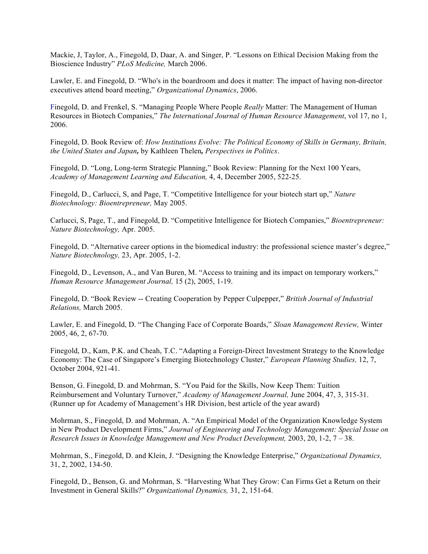Mackie, J, Taylor, A., Finegold, D, Daar, A. and Singer, P. "Lessons on Ethical Decision Making from the Bioscience Industry" *PLoS Medicine,* March 2006.

Lawler, E. and Finegold, D. "Who's in the boardroom and does it matter: The impact of having non-director executives attend board meeting," *Organizational Dynamics*, 2006.

Finegold, D. and Frenkel, S. "Managing People Where People *Really* Matter: The Management of Human Resources in Biotech Companies," *The International Journal of Human Resource Management*, vol 17, no 1, 2006.

Finegold, D. Book Review of: *How Institutions Evolve: The Political Economy of Skills in Germany, Britain, the United States and Japan,* by Kathleen Thelen*, Perspectives in Politics*.

Finegold, D. "Long, Long-term Strategic Planning," Book Review: Planning for the Next 100 Years, *Academy of Management Learning and Education,* 4, 4, December 2005, 522-25.

Finegold, D., Carlucci, S, and Page, T. "Competitive Intelligence for your biotech start up," *Nature Biotechnology: Bioentrepreneur,* May 2005.

Carlucci, S, Page, T., and Finegold, D. "Competitive Intelligence for Biotech Companies," *Bioentrepreneur: Nature Biotechnology,* Apr. 2005.

Finegold, D. "Alternative career options in the biomedical industry: the professional science master's degree," *Nature Biotechnology,* 23, Apr. 2005, 1-2.

Finegold, D., Levenson, A., and Van Buren, M. "Access to training and its impact on temporary workers," *Human Resource Management Journal,* 15 (2), 2005, 1-19.

Finegold, D. "Book Review -- Creating Cooperation by Pepper Culpepper," *British Journal of Industrial Relations,* March 2005.

Lawler, E. and Finegold, D. "The Changing Face of Corporate Boards," *Sloan Management Review,* Winter 2005, 46, 2, 67-70.

Finegold, D., Kam, P.K. and Cheah, T.C. "Adapting a Foreign-Direct Investment Strategy to the Knowledge Economy: The Case of Singapore's Emerging Biotechnology Cluster," *European Planning Studies,* 12, 7, October 2004, 921-41.

Benson, G. Finegold, D. and Mohrman, S. "You Paid for the Skills, Now Keep Them: Tuition Reimbursement and Voluntary Turnover," *Academy of Management Journal,* June 2004, 47, 3, 315-31. (Runner up for Academy of Management's HR Division, best article of the year award)

Mohrman, S., Finegold, D. and Mohrman, A. "An Empirical Model of the Organization Knowledge System in New Product Development Firms," *Journal of Engineering and Technology Management: Special Issue on Research Issues in Knowledge Management and New Product Development,* 2003, 20, 1-2, 7 – 38.

Mohrman, S., Finegold, D. and Klein, J. "Designing the Knowledge Enterprise," *Organizational Dynamics,*  31, 2, 2002, 134-50.

Finegold, D., Benson, G. and Mohrman, S. "Harvesting What They Grow: Can Firms Get a Return on their Investment in General Skills?" *Organizational Dynamics,* 31, 2, 151-64.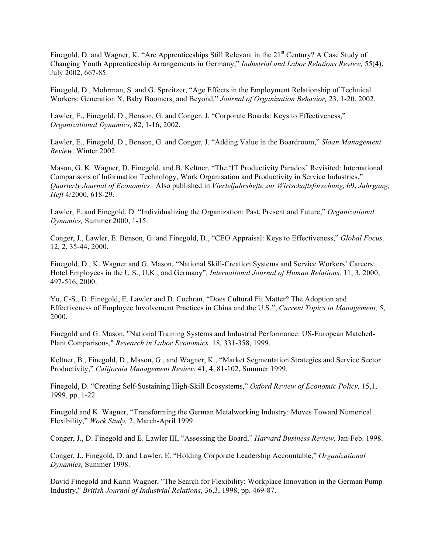Finegold, D. and Wagner, K. "Are Apprenticeships Still Relevant in the 21<sup>st</sup> Century? A Case Study of Changing Youth Apprenticeship Arrangements in Germany," *Industrial and Labor Relations Review,* 55(4), July 2002, 667-85.

Finegold, D., Mohrman, S. and G. Spreitzer, "Age Effects in the Employment Relationship of Technical Workers: Generation X, Baby Boomers, and Beyond," *Journal of Organization Behavior,* 23, 1-20, 2002.

Lawler, E., Finegold, D., Benson, G. and Conger, J. "Corporate Boards: Keys to Effectiveness," *Organizational Dynamics,* 82, 1-16, 2002.

Lawler, E., Finegold, D., Benson, G. and Conger, J. "Adding Value in the Boardroom," *Sloan Management Review,* Winter 2002.

Mason, G. K. Wagner, D. Finegold, and B. Keltner, "The 'IT Productivity Paradox' Revisited: International Comparisons of Information Technology, Work Organisation and Productivity in Service Industries," *Quarterly Journal of Economics*. Also published in *Vierteljahrshefte zur Wirtschaftsforschung,* 69, *Jahrgang, Heft* 4/2000, 618-29.

Lawler, E. and Finegold, D. "Individualizing the Organization: Past, Present and Future," *Organizational Dynamics,* Summer 2000, 1-15.

Conger, J., Lawler, E. Benson, G. and Finegold, D., "CEO Appraisal: Keys to Effectiveness," *Global Focus,*  12, 2, 35-44, 2000.

Finegold, D., K. Wagner and G. Mason, "National Skill-Creation Systems and Service Workers' Careers: Hotel Employees in the U.S., U.K., and Germany", *International Journal of Human Relations,* 11, 3, 2000, 497-516, 2000.

Yu, C-S., D. Finegold, E. Lawler and D. Cochran, "Does Cultural Fit Matter? The Adoption and Effectiveness of Employee Involvement Practices in China and the U.S.", *Current Topics in Management,* 5, 2000.

Finegold and G. Mason, "National Training Systems and Industrial Performance: US-European Matched-Plant Comparisons," *Research in Labor Economics,* 18, 331-358, 1999.

Keltner, B., Finegold, D., Mason, G., and Wagner, K., "Market Segmentation Strategies and Service Sector Productivity," *California Management Review*, 41, 4, 81-102, Summer 1999*.*

Finegold, D. "Creating Self-Sustaining High-Skill Ecosystems," *Oxford Review of Economic Policy,* 15,1, 1999, pp. 1-22.

Finegold and K. Wagner, "Transforming the German Metalworking Industry: Moves Toward Numerical Flexibility," *Work Study,* 2, March-April 1999.

Conger, J., D. Finegold and E. Lawler III, "Assessing the Board," *Harvard Business Review,* Jan-Feb. 1998.

Conger, J., Finegold, D. and Lawler, E. "Holding Corporate Leadership Accountable," *Organizational Dynamics,* Summer 1998.

David Finegold and Karin Wagner, "The Search for Flexibility: Workplace Innovation in the German Pump Industry," *British Journal of Industrial Relations*, 36,3, 1998, pp. 469-87.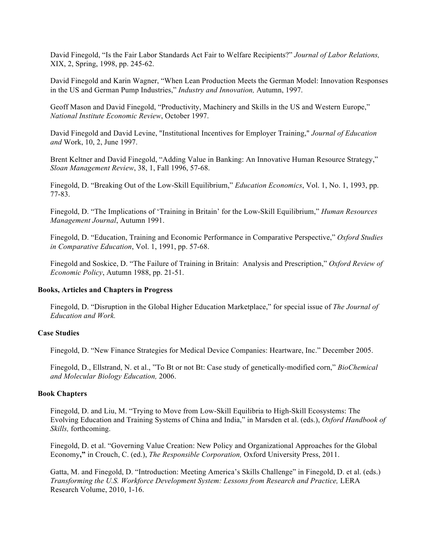David Finegold, "Is the Fair Labor Standards Act Fair to Welfare Recipients?" *Journal of Labor Relations,*  XIX, 2, Spring, 1998, pp. 245-62.

David Finegold and Karin Wagner, "When Lean Production Meets the German Model: Innovation Responses in the US and German Pump Industries," *Industry and Innovation,* Autumn, 1997.

Geoff Mason and David Finegold, "Productivity, Machinery and Skills in the US and Western Europe," *National Institute Economic Review*, October 1997.

David Finegold and David Levine, "Institutional Incentives for Employer Training," *Journal of Education and* Work, 10, 2, June 1997.

Brent Keltner and David Finegold, "Adding Value in Banking: An Innovative Human Resource Strategy," *Sloan Management Review*, 38, 1, Fall 1996, 57-68.

Finegold, D. "Breaking Out of the Low-Skill Equilibrium," *Education Economics*, Vol. 1, No. 1, 1993, pp. 77-83.

Finegold, D. "The Implications of 'Training in Britain' for the Low-Skill Equilibrium," *Human Resources Management Journal*, Autumn 1991.

Finegold, D. "Education, Training and Economic Performance in Comparative Perspective," *Oxford Studies in Comparative Education*, Vol. 1, 1991, pp. 57-68.

Finegold and Soskice, D. "The Failure of Training in Britain: Analysis and Prescription," *Oxford Review of Economic Policy*, Autumn 1988, pp. 21-51.

#### **Books, Articles and Chapters in Progress**

Finegold, D. "Disruption in the Global Higher Education Marketplace," for special issue of *The Journal of Education and Work.*

#### **Case Studies**

Finegold, D. "New Finance Strategies for Medical Device Companies: Heartware, Inc." December 2005.

Finegold, D., Ellstrand, N. et al., "To Bt or not Bt: Case study of genetically-modified corn," *BioChemical and Molecular Biology Education,* 2006.

#### **Book Chapters**

Finegold, D. and Liu, M. "Trying to Move from Low-Skill Equilibria to High-Skill Ecosystems: The Evolving Education and Training Systems of China and India," in Marsden et al. (eds.), *Oxford Handbook of Skills,* forthcoming.

Finegold, D. et al. "Governing Value Creation: New Policy and Organizational Approaches for the Global Economy**,"** in Crouch, C. (ed.), *The Responsible Corporation,* Oxford University Press, 2011.

Gatta, M. and Finegold, D. "Introduction: Meeting America's Skills Challenge" in Finegold, D. et al. (eds.) *Transforming the U.S. Workforce Development System: Lessons from Research and Practice, LERA* Research Volume, 2010, 1-16.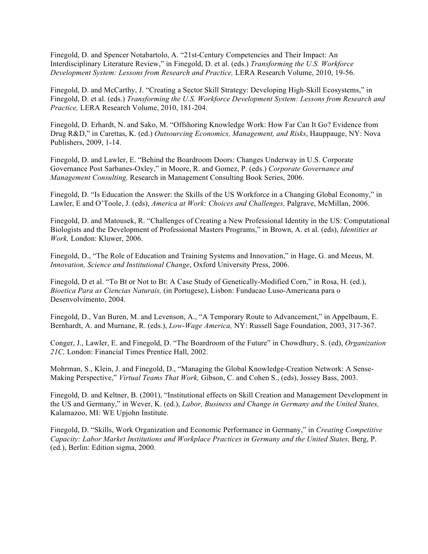Finegold, D. and Spencer Notabartolo, A. "21st-Century Competencies and Their Impact: An Interdisciplinary Literature Review," in Finegold, D. et al. (eds.) *Transforming the U.S. Workforce Development System: Lessons from Research and Practice,* LERA Research Volume, 2010, 19-56.

Finegold, D. and McCarthy, J. "Creating a Sector Skill Strategy: Developing High-Skill Ecosystems," in Finegold, D. et al. (eds.) *Transforming the U.S. Workforce Development System: Lessons from Research and Practice,* LERA Research Volume, 2010, 181-204.

Finegold, D. Erhardt, N. and Sako, M. "Offshoring Knowledge Work: How Far Can It Go? Evidence from Drug R&D," in Carettas, K. (ed.) *Outsourcing Economics, Management, and Risks*, Hauppauge, NY: Nova Publishers, 2009, 1-14.

Finegold, D. and Lawler, E. "Behind the Boardroom Doors: Changes Underway in U.S. Corporate Governance Post Sarbanes-Oxley," in Moore, R. and Gomez, P. (eds.) *Corporate Governance and Management Consulting,* Research in Management Consulting Book Series, 2006.

Finegold, D. "Is Education the Answer: the Skills of the US Workforce in a Changing Global Economy," in Lawler, E and O'Toole, J. (eds), *America at Work: Choices and Challenges,* Palgrave, McMillan, 2006.

Finegold, D. and Matousek, R. "Challenges of Creating a New Professional Identity in the US: Computational Biologists and the Development of Professional Masters Programs," in Brown, A. et al. (eds), *Identities at Work,* London: Kluwer, 2006.

Finegold, D., "The Role of Education and Training Systems and Innovation," in Hage, G. and Meeus, M. *Innovation, Science and Institutional Change*, Oxford University Press, 2006.

Finegold, D et al. "To Bt or Not to Bt: A Case Study of Genetically-Modified Corn," in Rosa, H. (ed.), *Bioetica Para as Ciencias Naturais,* (in Portugese), Lisbon: Fundacao Luso-Americana para o Desenvolvimento, 2004.

Finegold, D., Van Buren, M. and Levenson, A., "A Temporary Route to Advancement," in Appelbaum, E. Bernhardt, A. and Murnane, R. (eds.), *Low-Wage America,* NY: Russell Sage Foundation, 2003, 317-367.

Conger, J., Lawler, E. and Finegold, D. "The Boardroom of the Future" in Chowdhury, S. (ed), *Organization 21C,* London: Financial Times Prentice Hall, 2002.

Mohrman, S., Klein, J. and Finegold, D., "Managing the Global Knowledge-Creation Network: A Sense-Making Perspective," *Virtual Teams That Work,* Gibson, C. and Cohen S., (eds), Jossey Bass, 2003.

Finegold, D. and Keltner, B. (2001), "Institutional effects on Skill Creation and Management Development in the US and Germany," in Wever, K. (ed.), *Labor, Business and Change in Germany and the United States,*  Kalamazoo, MI: WE Upjohn Institute.

Finegold, D. "Skills, Work Organization and Economic Performance in Germany," in *Creating Competitive Capacity: Labor Market Institutions and Workplace Practices in Germany and the United States,* Berg, P. (ed.), Berlin: Edition sigma, 2000.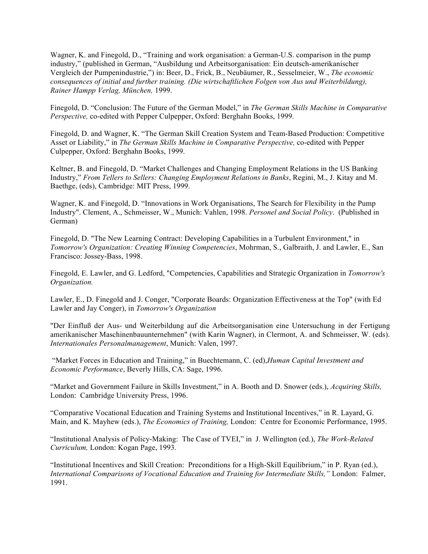Wagner, K. and Finegold, D., "Training and work organisation: a German-U.S. comparison in the pump industry," (published in German, "Ausbildung und Arbeitsorganisation: Ein deutsch-amerikanischer Vergleich der Pumpenindustrie,") in: Beer, D., Frick, B., Neubäumer, R., Sesselmeier, W., *The economic consequences of initial and further training. (Die wirtschaftlichen Folgen von Aus und Weiterbildung), Rainer Hampp Verlag, München,* 1999.

Finegold, D. "Conclusion: The Future of the German Model," in *The German Skills Machine in Comparative Perspective,* co-edited with Pepper Culpepper, Oxford: Berghahn Books, 1999.

Finegold, D. and Wagner, K. "The German Skill Creation System and Team-Based Production: Competitive Asset or Liability," in *The German Skills Machine in Comparative Perspective,* co-edited with Pepper Culpepper, Oxford: Berghahn Books, 1999.

Keltner, B. and Finegold, D. "Market Challenges and Changing Employment Relations in the US Banking Industry," *From Tellers to Sellers: Changing Employment Relations in Banks*, Regini, M., J. Kitay and M. Baethge, (eds), Cambridge: MIT Press, 1999.

Wagner, K. and Finegold, D. "Innovations in Work Organisations, The Search for Flexibility in the Pump Industry". Clement, A., Schmeisser, W., Munich: Vahlen, 1998. *Personel and Social Policy*. (Published in German)

Finegold, D. "The New Learning Contract: Developing Capabilities in a Turbulent Environment," in *Tomorrow's Organization: Creating Winning Competencies*, Mohrman, S., Galbraith, J. and Lawler, E., San Francisco: Jossey-Bass, 1998.

Finegold, E. Lawler, and G. Ledford, "Competencies, Capabilities and Strategic Organization in *Tomorrow's Organization.*

Lawler, E., D. Finegold and J. Conger, "Corporate Boards: Organization Effectiveness at the Top" (with Ed Lawler and Jay Conger), in *Tomorrow's Organization*

"Der Einfluß der Aus- und Weiterbildung auf die Arbeitsorganisation eine Untersuchung in der Fertigung amerikanischer Maschinenbauunternehmen" (with Karin Wagner), in Clermont, A. and Schmeisser, W. (eds). *Internationales Personalmanagement*, Munich: Valen, 1997.

"Market Forces in Education and Training," in Buechtemann, C. (ed),*Human Capital Investment and Economic Performance*, Beverly Hills, CA: Sage, 1996.

"Market and Government Failure in Skills Investment," in A. Booth and D. Snower (eds.), *Acquiring Skills,* London: Cambridge University Press, 1996.

"Comparative Vocational Education and Training Systems and Institutional Incentives," in R. Layard, G. Main, and K. Mayhew (eds.), *The Economics of Training,* London: Centre for Economic Performance, 1995.

"Institutional Analysis of Policy-Making: The Case of TVEI," in J. Wellington (ed.), *The Work-Related Curriculum,* London: Kogan Page, 1993.

"Institutional Incentives and Skill Creation: Preconditions for a High-Skill Equilibrium," in P. Ryan (ed.), *International Comparisons of Vocational Education and Training for Intermediate Skills,"* London: Falmer, 1991.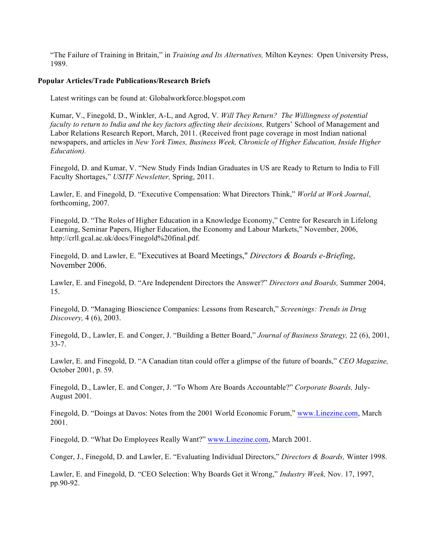"The Failure of Training in Britain," in *Training and Its Alternatives,* Milton Keynes: Open University Press, 1989.

## **Popular Articles/Trade Publications/Research Briefs**

Latest writings can be found at: Globalworkforce.blogspot.com

Kumar, V., Finegold, D., Winkler, A-L, and Agrod, V. *Will They Return? The Willingness of potential faculty to return to India and the key factors affecting their decisions, Rutgers' School of Management and* Labor Relations Research Report, March, 2011. (Received front page coverage in most Indian national newspapers, and articles in *New York Times, Business Week, Chronicle of Higher Education, Inside Higher Education).*

Finegold, D. and Kumar, V. "New Study Finds Indian Graduates in US are Ready to Return to India to Fill Faculty Shortages," *USITF Newsletter,* Spring, 2011.

Lawler, E. and Finegold, D. "Executive Compensation: What Directors Think," *World at Work Journal*, forthcoming, 2007.

Finegold, D. "The Roles of Higher Education in a Knowledge Economy," Centre for Research in Lifelong Learning, Seminar Papers, Higher Education, the Economy and Labour Markets," November, 2006, http://crll.gcal.ac.uk/docs/Finegold%20final.pdf.

Finegold, D. and Lawler, E. "Executives at Board Meetings," *Directors & Boards e-Briefing*, November 2006.

Lawler, E. and Finegold, D. "Are Independent Directors the Answer?" *Directors and Boards,* Summer 2004, 15.

Finegold, D. "Managing Bioscience Companies: Lessons from Research," *Screenings: Trends in Drug Discovery,* 4 (6), 2003.

Finegold, D., Lawler, E. and Conger, J. "Building a Better Board," *Journal of Business Strategy,* 22 (6), 2001, 33-7.

Lawler, E. and Finegold, D. "A Canadian titan could offer a glimpse of the future of boards," *CEO Magazine,*  October 2001, p. 59.

Finegold, D., Lawler, E. and Conger, J. "To Whom Are Boards Accountable?" *Corporate Boards,* July-August 2001.

Finegold, D. "Doings at Davos: Notes from the 2001 World Economic Forum," www.Linezine.com, March 2001.

Finegold, D. "What Do Employees Really Want?" www.Linezine.com, March 2001.

Conger, J., Finegold, D. and Lawler, E. "Evaluating Individual Directors," *Directors & Boards,* Winter 1998.

Lawler, E. and Finegold, D. "CEO Selection: Why Boards Get it Wrong," *Industry Week,* Nov. 17, 1997, pp.90-92.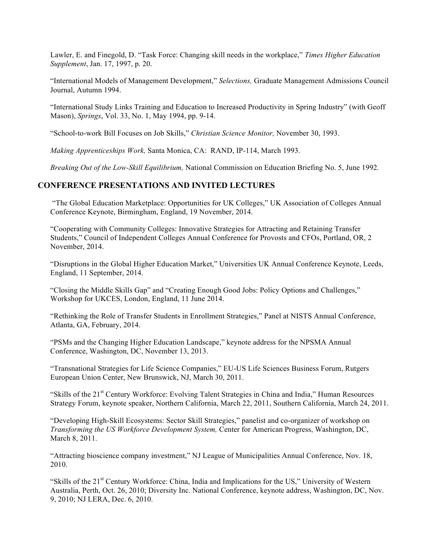Lawler, E. and Finegold, D. "Task Force: Changing skill needs in the workplace," *Times Higher Education Supplement*, Jan. 17, 1997, p. 20.

"International Models of Management Development," *Selections,* Graduate Management Admissions Council Journal, Autumn 1994.

"International Study Links Training and Education to Increased Productivity in Spring Industry" (with Geoff Mason), *Springs*, Vol. 33, No. 1, May 1994, pp. 9-14.

"School-to-work Bill Focuses on Job Skills," *Christian Science Monitor,* November 30, 1993.

*Making Apprenticeships Work,* Santa Monica, CA: RAND, IP-114, March 1993.

*Breaking Out of the Low-Skill Equilibrium,* National Commission on Education Briefing No. 5, June 1992.

# **CONFERENCE PRESENTATIONS AND INVITED LECTURES**

"The Global Education Marketplace: Opportunities for UK Colleges," UK Association of Colleges Annual Conference Keynote, Birmingham, England, 19 November, 2014.

"Cooperating with Community Colleges: Innovative Strategies for Attracting and Retaining Transfer Students," Council of Independent Colleges Annual Conference for Provosts and CFOs, Portland, OR, 2 November, 2014.

"Disruptions in the Global Higher Education Market," Universities UK Annual Conference Keynote, Leeds, England, 11 September, 2014.

"Closing the Middle Skills Gap" and "Creating Enough Good Jobs: Policy Options and Challenges," Workshop for UKCES, London, England, 11 June 2014.

"Rethinking the Role of Transfer Students in Enrollment Strategies," Panel at NISTS Annual Conference, Atlanta, GA, February, 2014.

"PSMs and the Changing Higher Education Landscape," keynote address for the NPSMA Annual Conference, Washington, DC, November 13, 2013.

"Transnational Strategies for Life Science Companies," EU-US Life Sciences Business Forum, Rutgers European Union Center, New Brunswick, NJ, March 30, 2011.

"Skills of the 21<sup>st</sup> Century Workforce: Evolving Talent Strategies in China and India," Human Resources Strategy Forum, keynote speaker, Northern California, March 22, 2011, Southern California, March 24, 2011.

"Developing High-Skill Ecosystems: Sector Skill Strategies," panelist and co-organizer of workshop on *Transforming the US Workforce Development System,* Center for American Progress, Washington, DC, March 8, 2011.

"Attracting bioscience company investment," NJ League of Municipalities Annual Conference, Nov. 18, 2010.

"Skills of the 21<sup>st</sup> Century Workforce: China, India and Implications for the US," University of Western Australia, Perth, Oct. 26, 2010; Diversity Inc. National Conference, keynote address, Washington, DC, Nov. 9, 2010; NJ LERA, Dec. 6, 2010.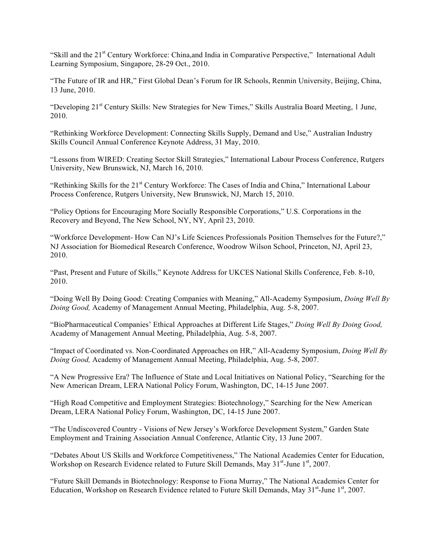"Skill and the 21<sup>st</sup> Century Workforce: China, and India in Comparative Perspective," International Adult Learning Symposium, Singapore, 28-29 Oct., 2010.

"The Future of IR and HR," First Global Dean's Forum for IR Schools, Renmin University, Beijing, China, 13 June, 2010.

"Developing 21<sup>st</sup> Century Skills: New Strategies for New Times," Skills Australia Board Meeting, 1 June, 2010.

"Rethinking Workforce Development: Connecting Skills Supply, Demand and Use," Australian Industry Skills Council Annual Conference Keynote Address, 31 May, 2010.

"Lessons from WIRED: Creating Sector Skill Strategies," International Labour Process Conference, Rutgers University, New Brunswick, NJ, March 16, 2010.

"Rethinking Skills for the 21<sup>st</sup> Century Workforce: The Cases of India and China," International Labour Process Conference, Rutgers University, New Brunswick, NJ, March 15, 2010.

"Policy Options for Encouraging More Socially Responsible Corporations," U.S. Corporations in the Recovery and Beyond, The New School, NY, NY, April 23, 2010.

"Workforce Development- How Can NJ's Life Sciences Professionals Position Themselves for the Future?," NJ Association for Biomedical Research Conference, Woodrow Wilson School, Princeton, NJ, April 23, 2010.

"Past, Present and Future of Skills," Keynote Address for UKCES National Skills Conference, Feb. 8-10, 2010.

"Doing Well By Doing Good: Creating Companies with Meaning," All-Academy Symposium, *Doing Well By Doing Good,* Academy of Management Annual Meeting, Philadelphia, Aug. 5-8, 2007.

"BioPharmaceutical Companies' Ethical Approaches at Different Life Stages," *Doing Well By Doing Good,*  Academy of Management Annual Meeting, Philadelphia, Aug. 5-8, 2007.

"Impact of Coordinated vs. Non-Coordinated Approaches on HR," All-Academy Symposium, *Doing Well By Doing Good,* Academy of Management Annual Meeting, Philadelphia, Aug. 5-8, 2007.

"A New Progressive Era? The Influence of State and Local Initiatives on National Policy, "Searching for the New American Dream, LERA National Policy Forum, Washington, DC, 14-15 June 2007.

"High Road Competitive and Employment Strategies: Biotechnology," Searching for the New American Dream, LERA National Policy Forum, Washington, DC, 14-15 June 2007.

"The Undiscovered Country - Visions of New Jersey's Workforce Development System," Garden State Employment and Training Association Annual Conference, Atlantic City, 13 June 2007.

"Debates About US Skills and Workforce Competitiveness," The National Academies Center for Education, Workshop on Research Evidence related to Future Skill Demands, May  $31<sup>st</sup>$ -June  $1<sup>st</sup>$ , 2007.

"Future Skill Demands in Biotechnology: Response to Fiona Murray," The National Academies Center for Education, Workshop on Research Evidence related to Future Skill Demands, May 31<sup>st</sup>-June 1<sup>st</sup>, 2007.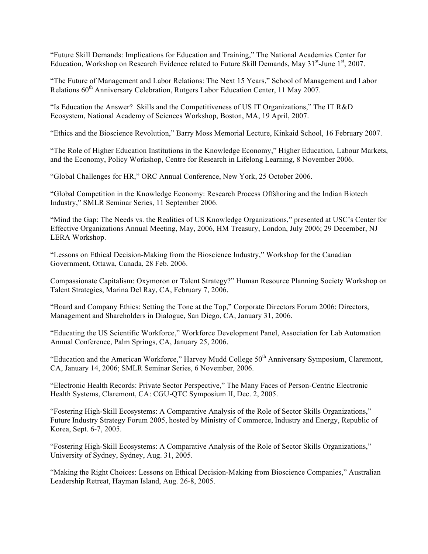"Future Skill Demands: Implications for Education and Training," The National Academies Center for Education, Workshop on Research Evidence related to Future Skill Demands, May 31<sup>st</sup>-June 1<sup>st</sup>, 2007.

"The Future of Management and Labor Relations: The Next 15 Years," School of Management and Labor Relations  $60<sup>th</sup>$  Anniversary Celebration, Rutgers Labor Education Center, 11 May 2007.

"Is Education the Answer? Skills and the Competitiveness of US IT Organizations," The IT R&D Ecosystem, National Academy of Sciences Workshop, Boston, MA, 19 April, 2007.

"Ethics and the Bioscience Revolution," Barry Moss Memorial Lecture, Kinkaid School, 16 February 2007.

"The Role of Higher Education Institutions in the Knowledge Economy," Higher Education, Labour Markets, and the Economy, Policy Workshop, Centre for Research in Lifelong Learning, 8 November 2006.

"Global Challenges for HR," ORC Annual Conference, New York, 25 October 2006.

"Global Competition in the Knowledge Economy: Research Process Offshoring and the Indian Biotech Industry," SMLR Seminar Series, 11 September 2006.

"Mind the Gap: The Needs vs. the Realities of US Knowledge Organizations," presented at USC's Center for Effective Organizations Annual Meeting, May, 2006, HM Treasury, London, July 2006; 29 December, NJ LERA Workshop.

"Lessons on Ethical Decision-Making from the Bioscience Industry," Workshop for the Canadian Government, Ottawa, Canada, 28 Feb. 2006.

Compassionate Capitalism: Oxymoron or Talent Strategy?" Human Resource Planning Society Workshop on Talent Strategies, Marina Del Ray, CA, February 7, 2006.

"Board and Company Ethics: Setting the Tone at the Top," Corporate Directors Forum 2006: Directors, Management and Shareholders in Dialogue, San Diego, CA, January 31, 2006.

"Educating the US Scientific Workforce," Workforce Development Panel, Association for Lab Automation Annual Conference, Palm Springs, CA, January 25, 2006.

"Education and the American Workforce," Harvey Mudd College  $50<sup>th</sup>$  Anniversary Symposium, Claremont, CA, January 14, 2006; SMLR Seminar Series, 6 November, 2006.

"Electronic Health Records: Private Sector Perspective," The Many Faces of Person-Centric Electronic Health Systems, Claremont, CA: CGU-QTC Symposium II, Dec. 2, 2005.

"Fostering High-Skill Ecosystems: A Comparative Analysis of the Role of Sector Skills Organizations," Future Industry Strategy Forum 2005, hosted by Ministry of Commerce, Industry and Energy, Republic of Korea, Sept. 6-7, 2005.

"Fostering High-Skill Ecosystems: A Comparative Analysis of the Role of Sector Skills Organizations," University of Sydney, Sydney, Aug. 31, 2005.

"Making the Right Choices: Lessons on Ethical Decision-Making from Bioscience Companies," Australian Leadership Retreat, Hayman Island, Aug. 26-8, 2005.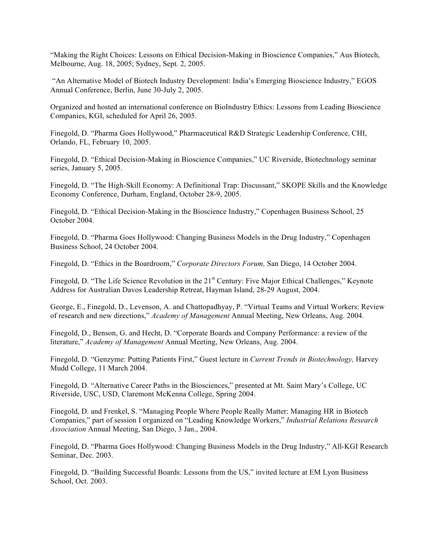"Making the Right Choices: Lessons on Ethical Decision-Making in Bioscience Companies," Aus Biotech, Melbourne, Aug. 18, 2005; Sydney, Sept. 2, 2005.

"An Alternative Model of Biotech Industry Development: India's Emerging Bioscience Industry," EGOS Annual Conference, Berlin, June 30-July 2, 2005.

Organized and hosted an international conference on BioIndustry Ethics: Lessons from Leading Bioscience Companies, KGI, scheduled for April 26, 2005.

Finegold, D. "Pharma Goes Hollywood," Pharmaceutical R&D Strategic Leadership Conference, CHI, Orlando, FL, February 10, 2005.

Finegold, D. "Ethical Decision-Making in Bioscience Companies," UC Riverside, Biotechnology seminar series, January 5, 2005.

Finegold, D. "The High-Skill Economy: A Definitional Trap: Discussant," SKOPE Skills and the Knowledge Economy Conference, Durham, England, October 28-9, 2005.

Finegold, D. "Ethical Decision-Making in the Bioscience Industry," Copenhagen Business School, 25 October 2004.

Finegold, D. "Pharma Goes Hollywood: Changing Business Models in the Drug Industry," Copenhagen Business School, 24 October 2004.

Finegold, D. "Ethics in the Boardroom," *Corporate Directors Forum,* San Diego, 14 October 2004.

Finegold, D. "The Life Science Revolution in the 21<sup>st</sup> Century: Five Major Ethical Challenges," Keynote Address for Australian Davos Leadership Retreat, Hayman Island, 28-29 August, 2004.

George, E., Finegold, D., Levenson, A. and Chattopadhyay, P. "Virtual Teams and Virtual Workers: Review of research and new directions," *Academy of Management* Annual Meeting, New Orleans, Aug. 2004.

Finegold, D., Benson, G. and Hecht, D. "Corporate Boards and Company Performance: a review of the literature," *Academy of Management* Annual Meeting, New Orleans, Aug. 2004.

Finegold, D. "Genzyme: Putting Patients First," Guest lecture in *Current Trends in Biotechnology,* Harvey Mudd College, 11 March 2004.

Finegold, D. "Alternative Career Paths in the Biosciences," presented at Mt. Saint Mary's College, UC Riverside, USC, USD, Claremont McKenna College, Spring 2004.

Finegold, D. and Frenkel, S. "Managing People Where People Really Matter: Managing HR in Biotech Companies," part of session I organized on "Leading Knowledge Workers," *Industrial Relations Research Association* Annual Meeting, San Diego, 3 Jan., 2004.

Finegold, D. "Pharma Goes Hollywood: Changing Business Models in the Drug Industry," All-KGI Research Seminar, Dec. 2003.

Finegold, D. "Building Successful Boards: Lessons from the US," invited lecture at EM Lyon Business School, Oct. 2003.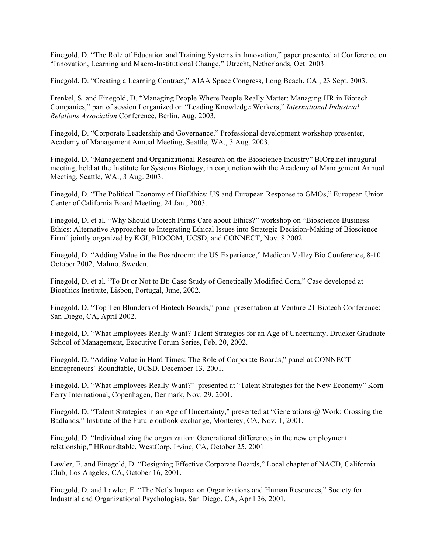Finegold, D. "The Role of Education and Training Systems in Innovation," paper presented at Conference on "Innovation, Learning and Macro-Institutional Change," Utrecht, Netherlands, Oct. 2003.

Finegold, D. "Creating a Learning Contract," AIAA Space Congress, Long Beach, CA., 23 Sept. 2003.

Frenkel, S. and Finegold, D. "Managing People Where People Really Matter: Managing HR in Biotech Companies," part of session I organized on "Leading Knowledge Workers," *International Industrial Relations Association* Conference, Berlin, Aug. 2003.

Finegold, D. "Corporate Leadership and Governance," Professional development workshop presenter, Academy of Management Annual Meeting, Seattle, WA., 3 Aug. 2003.

Finegold, D. "Management and Organizational Research on the Bioscience Industry" BIOrg.net inaugural meeting, held at the Institute for Systems Biology, in conjunction with the Academy of Management Annual Meeting, Seattle, WA., 3 Aug. 2003.

Finegold, D. "The Political Economy of BioEthics: US and European Response to GMOs," European Union Center of California Board Meeting, 24 Jan., 2003.

Finegold, D. et al. "Why Should Biotech Firms Care about Ethics?" workshop on "Bioscience Business Ethics: Alternative Approaches to Integrating Ethical Issues into Strategic Decision-Making of Bioscience Firm" jointly organized by KGI, BIOCOM, UCSD, and CONNECT, Nov. 8 2002.

Finegold, D. "Adding Value in the Boardroom: the US Experience," Medicon Valley Bio Conference, 8-10 October 2002, Malmo, Sweden.

Finegold, D. et al. "To Bt or Not to Bt: Case Study of Genetically Modified Corn," Case developed at Bioethics Institute, Lisbon, Portugal, June, 2002.

Finegold, D. "Top Ten Blunders of Biotech Boards," panel presentation at Venture 21 Biotech Conference: San Diego, CA, April 2002.

Finegold, D. "What Employees Really Want? Talent Strategies for an Age of Uncertainty, Drucker Graduate School of Management, Executive Forum Series, Feb. 20, 2002.

Finegold, D. "Adding Value in Hard Times: The Role of Corporate Boards," panel at CONNECT Entrepreneurs' Roundtable, UCSD, December 13, 2001.

Finegold, D. "What Employees Really Want?" presented at "Talent Strategies for the New Economy" Korn Ferry International, Copenhagen, Denmark, Nov. 29, 2001.

Finegold, D. "Talent Strategies in an Age of Uncertainty," presented at "Generations @ Work: Crossing the Badlands," Institute of the Future outlook exchange, Monterey, CA, Nov. 1, 2001.

Finegold, D. "Individualizing the organization: Generational differences in the new employment relationship," HRoundtable, WestCorp, Irvine, CA, October 25, 2001.

Lawler, E. and Finegold, D. "Designing Effective Corporate Boards," Local chapter of NACD, California Club, Los Angeles, CA, October 16, 2001.

Finegold, D. and Lawler, E. "The Net's Impact on Organizations and Human Resources," Society for Industrial and Organizational Psychologists, San Diego, CA, April 26, 2001.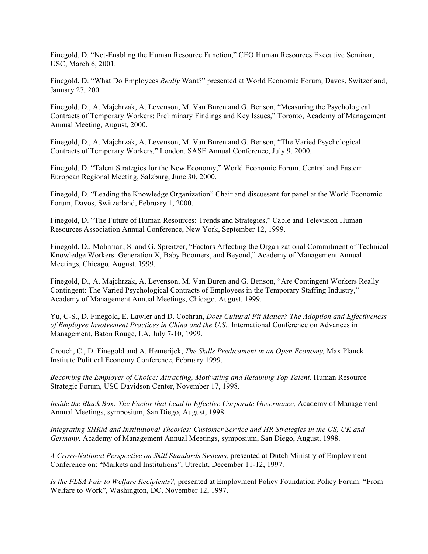Finegold, D. "Net-Enabling the Human Resource Function," CEO Human Resources Executive Seminar, USC, March 6, 2001.

Finegold, D. "What Do Employees *Really* Want?" presented at World Economic Forum, Davos, Switzerland, January 27, 2001.

Finegold, D., A. Majchrzak, A. Levenson, M. Van Buren and G. Benson, "Measuring the Psychological Contracts of Temporary Workers: Preliminary Findings and Key Issues," Toronto, Academy of Management Annual Meeting, August, 2000.

Finegold, D., A. Majchrzak, A. Levenson, M. Van Buren and G. Benson, "The Varied Psychological Contracts of Temporary Workers," London, SASE Annual Conference, July 9, 2000.

Finegold, D. "Talent Strategies for the New Economy," World Economic Forum, Central and Eastern European Regional Meeting, Salzburg, June 30, 2000.

Finegold, D. "Leading the Knowledge Organization" Chair and discussant for panel at the World Economic Forum, Davos, Switzerland, February 1, 2000.

Finegold, D. "The Future of Human Resources: Trends and Strategies," Cable and Television Human Resources Association Annual Conference, New York, September 12, 1999.

Finegold, D., Mohrman, S. and G. Spreitzer, "Factors Affecting the Organizational Commitment of Technical Knowledge Workers: Generation X, Baby Boomers, and Beyond," Academy of Management Annual Meetings, Chicago*,* August. 1999.

Finegold, D., A. Majchrzak, A. Levenson, M. Van Buren and G. Benson, "Are Contingent Workers Really Contingent: The Varied Psychological Contracts of Employees in the Temporary Staffing Industry," Academy of Management Annual Meetings, Chicago*,* August. 1999.

Yu, C-S., D. Finegold, E. Lawler and D. Cochran, *Does Cultural Fit Matter? The Adoption and Effectiveness of Employee Involvement Practices in China and the U.S.,* International Conference on Advances in Management, Baton Rouge, LA, July 7-10, 1999.

Crouch, C., D. Finegold and A. Hemerijck, *The Skills Predicament in an Open Economy,* Max Planck Institute Political Economy Conference, February 1999.

Becoming the Employer of Choice: Attracting, Motivating and Retaining Top Talent, Human Resource Strategic Forum, USC Davidson Center, November 17, 1998.

*Inside the Black Box: The Factor that Lead to Effective Corporate Governance, Academy of Management* Annual Meetings, symposium, San Diego, August, 1998.

*Integrating SHRM and Institutional Theories: Customer Service and HR Strategies in the US, UK and Germany,* Academy of Management Annual Meetings, symposium, San Diego, August, 1998.

*A Cross-National Perspective on Skill Standards Systems,* presented at Dutch Ministry of Employment Conference on: "Markets and Institutions", Utrecht, December 11-12, 1997.

*Is the FLSA Fair to Welfare Recipients?,* presented at Employment Policy Foundation Policy Forum: "From Welfare to Work", Washington, DC, November 12, 1997.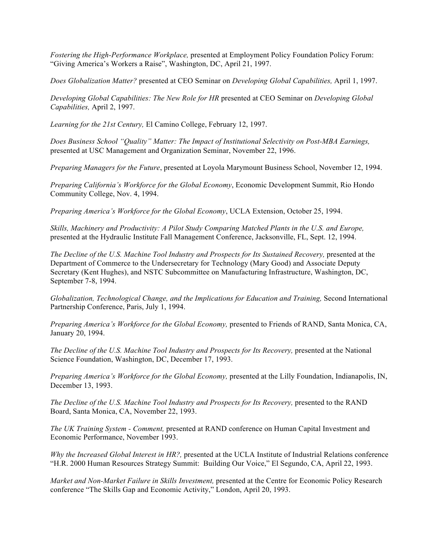*Fostering the High-Performance Workplace,* presented at Employment Policy Foundation Policy Forum: "Giving America's Workers a Raise", Washington, DC, April 21, 1997.

*Does Globalization Matter?* presented at CEO Seminar on *Developing Global Capabilities,* April 1, 1997.

*Developing Global Capabilities: The New Role for HR* presented at CEO Seminar on *Developing Global Capabilities,* April 2, 1997.

*Learning for the 21st Century,* El Camino College, February 12, 1997.

*Does Business School "Quality" Matter: The Impact of Institutional Selectivity on Post-MBA Earnings,*  presented at USC Management and Organization Seminar, November 22, 1996.

*Preparing Managers for the Future*, presented at Loyola Marymount Business School, November 12, 1994.

*Preparing California's Workforce for the Global Economy*, Economic Development Summit, Rio Hondo Community College, Nov. 4, 1994.

*Preparing America's Workforce for the Global Economy*, UCLA Extension, October 25, 1994.

*Skills, Machinery and Productivity: A Pilot Study Comparing Matched Plants in the U.S. and Europe,*  presented at the Hydraulic Institute Fall Management Conference, Jacksonville, FL, Sept. 12, 1994.

*The Decline of the U.S. Machine Tool Industry and Prospects for Its Sustained Recovery, presented at the* Department of Commerce to the Undersecretary for Technology (Mary Good) and Associate Deputy Secretary (Kent Hughes), and NSTC Subcommittee on Manufacturing Infrastructure, Washington, DC, September 7-8, 1994.

*Globalization, Technological Change, and the Implications for Education and Training,* Second International Partnership Conference, Paris, July 1, 1994.

*Preparing America's Workforce for the Global Economy, presented to Friends of RAND, Santa Monica, CA,* January 20, 1994.

The Decline of the U.S. Machine Tool Industry and Prospects for Its Recovery, presented at the National Science Foundation, Washington, DC, December 17, 1993.

*Preparing America's Workforce for the Global Economy,* presented at the Lilly Foundation, Indianapolis, IN, December 13, 1993.

The Decline of the U.S. Machine Tool Industry and Prospects for Its Recovery, presented to the RAND Board, Santa Monica, CA, November 22, 1993.

*The UK Training System - Comment,* presented at RAND conference on Human Capital Investment and Economic Performance, November 1993.

*Why the Increased Global Interest in HR?,* presented at the UCLA Institute of Industrial Relations conference "H.R. 2000 Human Resources Strategy Summit: Building Our Voice," El Segundo, CA, April 22, 1993.

*Market and Non-Market Failure in Skills Investment,* presented at the Centre for Economic Policy Research conference "The Skills Gap and Economic Activity," London, April 20, 1993.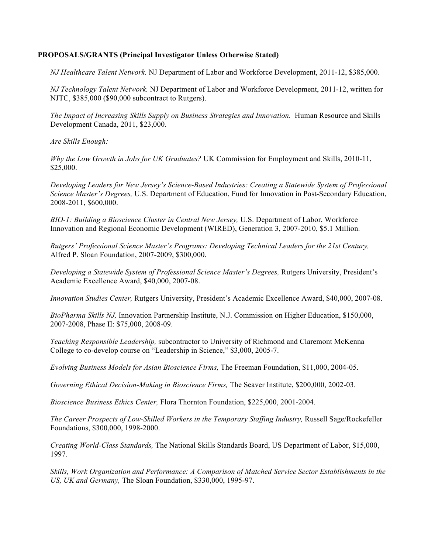## **PROPOSALS/GRANTS (Principal Investigator Unless Otherwise Stated)**

*NJ Healthcare Talent Network.* NJ Department of Labor and Workforce Development, 2011-12, \$385,000.

*NJ Technology Talent Network.* NJ Department of Labor and Workforce Development, 2011-12, written for NJTC, \$385,000 (\$90,000 subcontract to Rutgers).

*The Impact of Increasing Skills Supply on Business Strategies and Innovation.* Human Resource and Skills Development Canada, 2011, \$23,000.

*Are Skills Enough:* 

*Why the Low Growth in Jobs for UK Graduates?* UK Commission for Employment and Skills, 2010-11, \$25,000.

*Developing Leaders for New Jersey's Science-Based Industries: Creating a Statewide System of Professional Science Master's Degrees,* U.S. Department of Education, Fund for Innovation in Post-Secondary Education, 2008-2011, \$600,000.

*BIO-1: Building a Bioscience Cluster in Central New Jersey,* U.S. Department of Labor, Workforce Innovation and Regional Economic Development (WIRED), Generation 3, 2007-2010, \$5.1 Million.

*Rutgers' Professional Science Master's Programs: Developing Technical Leaders for the 21st Century,*  Alfred P. Sloan Foundation, 2007-2009, \$300,000.

*Developing a Statewide System of Professional Science Master's Degrees,* Rutgers University, President's Academic Excellence Award, \$40,000, 2007-08.

*Innovation Studies Center,* Rutgers University, President's Academic Excellence Award, \$40,000, 2007-08.

*BioPharma Skills NJ,* Innovation Partnership Institute, N.J. Commission on Higher Education, \$150,000, 2007-2008, Phase II: \$75,000, 2008-09.

*Teaching Responsible Leadership,* subcontractor to University of Richmond and Claremont McKenna College to co-develop course on "Leadership in Science," \$3,000, 2005-7.

*Evolving Business Models for Asian Bioscience Firms,* The Freeman Foundation, \$11,000, 2004-05.

*Governing Ethical Decision-Making in Bioscience Firms,* The Seaver Institute, \$200,000, 2002-03.

*Bioscience Business Ethics Center,* Flora Thornton Foundation, \$225,000, 2001-2004.

*The Career Prospects of Low-Skilled Workers in the Temporary Staffing Industry,* Russell Sage/Rockefeller Foundations, \$300,000, 1998-2000.

*Creating World-Class Standards,* The National Skills Standards Board, US Department of Labor, \$15,000, 1997.

*Skills, Work Organization and Performance: A Comparison of Matched Service Sector Establishments in the US, UK and Germany,* The Sloan Foundation, \$330,000, 1995-97.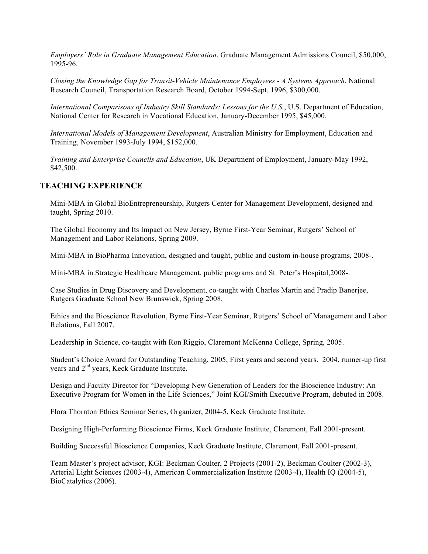*Employers' Role in Graduate Management Education*, Graduate Management Admissions Council, \$50,000, 1995-96.

*Closing the Knowledge Gap for Transit-Vehicle Maintenance Employees - A Systems Approach*, National Research Council, Transportation Research Board, October 1994-Sept. 1996, \$300,000.

*International Comparisons of Industry Skill Standards: Lessons for the U.S.*, U.S. Department of Education, National Center for Research in Vocational Education, January-December 1995, \$45,000.

*International Models of Management Development*, Australian Ministry for Employment, Education and Training, November 1993-July 1994, \$152,000.

*Training and Enterprise Councils and Education*, UK Department of Employment, January-May 1992, \$42,500.

# **TEACHING EXPERIENCE**

Mini-MBA in Global BioEntrepreneurship, Rutgers Center for Management Development, designed and taught, Spring 2010.

The Global Economy and Its Impact on New Jersey, Byrne First-Year Seminar, Rutgers' School of Management and Labor Relations, Spring 2009.

Mini-MBA in BioPharma Innovation, designed and taught, public and custom in-house programs, 2008-.

Mini-MBA in Strategic Healthcare Management, public programs and St. Peter's Hospital,2008-.

Case Studies in Drug Discovery and Development, co-taught with Charles Martin and Pradip Banerjee, Rutgers Graduate School New Brunswick, Spring 2008.

Ethics and the Bioscience Revolution, Byrne First-Year Seminar, Rutgers' School of Management and Labor Relations, Fall 2007.

Leadership in Science, co-taught with Ron Riggio, Claremont McKenna College, Spring, 2005.

Student's Choice Award for Outstanding Teaching, 2005, First years and second years. 2004, runner-up first years and 2<sup>nd</sup> years, Keck Graduate Institute.

Design and Faculty Director for "Developing New Generation of Leaders for the Bioscience Industry: An Executive Program for Women in the Life Sciences," Joint KGI/Smith Executive Program, debuted in 2008.

Flora Thornton Ethics Seminar Series, Organizer, 2004-5, Keck Graduate Institute.

Designing High-Performing Bioscience Firms, Keck Graduate Institute, Claremont, Fall 2001-present.

Building Successful Bioscience Companies, Keck Graduate Institute, Claremont, Fall 2001-present.

Team Master's project advisor, KGI: Beckman Coulter, 2 Projects (2001-2), Beckman Coulter (2002-3), Arterial Light Sciences (2003-4), American Commercialization Institute (2003-4), Health IQ (2004-5), BioCatalytics (2006).